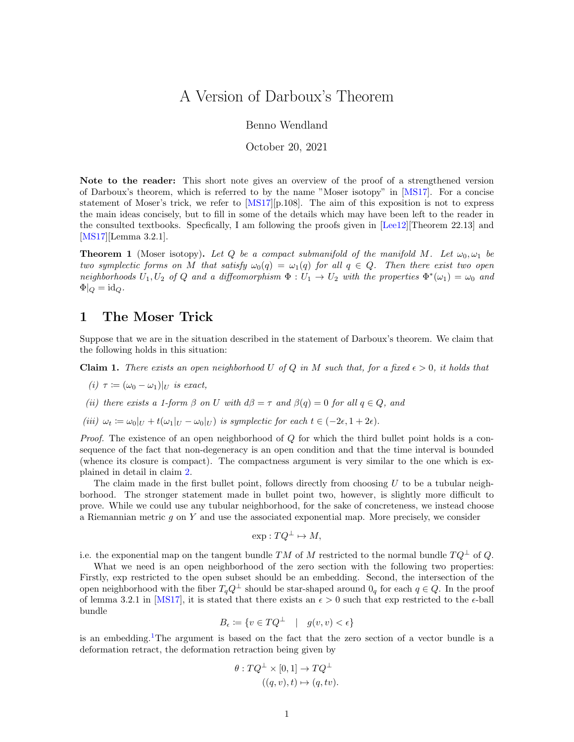## A Version of Darboux's Theorem

## Benno Wendland

October 20, 2021

Note to the reader: This short note gives an overview of the proof of a strengthened version of Darboux's theorem, which is referred to by the name "Moser isotopy" in [\[MS17\]](#page-3-0). For a concise statement of Moser's trick, we refer to [\[MS17\]](#page-3-0)[p.108]. The aim of this exposition is not to express the main ideas concisely, but to fill in some of the details which may have been left to the reader in the consulted textbooks. Specfically, I am following the proofs given in [\[Lee12\]](#page-3-1)[Theorem 22.13] and [\[MS17\]](#page-3-0)[Lemma 3.2.1].

<span id="page-0-0"></span>**Theorem 1** (Moser isotopy). Let Q be a compact submanifold of the manifold M. Let  $\omega_0, \omega_1$  be two symplectic forms on M that satisfy  $\omega_0(q) = \omega_1(q)$  for all  $q \in Q$ . Then there exist two open neighborhoods  $U_1, U_2$  of Q and a diffeomorphism  $\Phi : U_1 \to U_2$  with the properties  $\Phi^*(\omega_1) = \omega_0$  and  $\Phi|_Q = \mathrm{id}_Q.$ 

## 1 The Moser Trick

Suppose that we are in the situation described in the statement of Darboux's theorem. We claim that the following holds in this situation:

<span id="page-0-1"></span>**Claim 1.** There exists an open neighborhood U of Q in M such that, for a fixed  $\epsilon > 0$ , it holds that

$$
(i) \ \tau := (\omega_0 - \omega_1)|_U \ \text{is exact},
$$

- (ii) there exists a 1-form  $\beta$  on U with  $d\beta = \tau$  and  $\beta(q) = 0$  for all  $q \in Q$ , and
- (iii)  $\omega_t := \omega_0|_U + t(\omega_1|_U \omega_0|_U)$  is symplectic for each  $t \in (-2\epsilon, 1 + 2\epsilon)$ .

*Proof.* The existence of an open neighborhood of  $Q$  for which the third bullet point holds is a consequence of the fact that non-degeneracy is an open condition and that the time interval is bounded (whence its closure is compact). The compactness argument is very similar to the one which is explained in detail in claim [2.](#page-2-0)

The claim made in the first bullet point, follows directly from choosing  $U$  to be a tubular neighborhood. The stronger statement made in bullet point two, however, is slightly more difficult to prove. While we could use any tubular neighborhood, for the sake of concreteness, we instead choose a Riemannian metric  $q$  on Y and use the associated exponential map. More precisely, we consider

$$
\exp: TQ^{\perp} \mapsto M,
$$

i.e. the exponential map on the tangent bundle TM of M restricted to the normal bundle  $TQ^{\perp}$  of Q.

What we need is an open neighborhood of the zero section with the following two properties: Firstly, exp restricted to the open subset should be an embedding. Second, the intersection of the open neighborhood with the fiber  $T_qQ^{\perp}$  should be star-shaped around  $0_q$  for each  $q \in Q$ . In the proof of lemma 3.2.1 in [\[MS17\]](#page-3-0), it is stated that there exists an  $\epsilon > 0$  such that exp restricted to the  $\epsilon$ -ball bundle

$$
B_{\epsilon} \coloneqq \{ v \in TQ^{\perp} \quad | \quad g(v, v) < \epsilon \}
$$

is an embedding.[1](#page-1-0)The argument is based on the fact that the zero section of a vector bundle is a deformation retract, the deformation retraction being given by

$$
\theta: TQ^{\perp} \times [0,1] \to TQ^{\perp}
$$

$$
((q,v),t) \mapsto (q,tv)
$$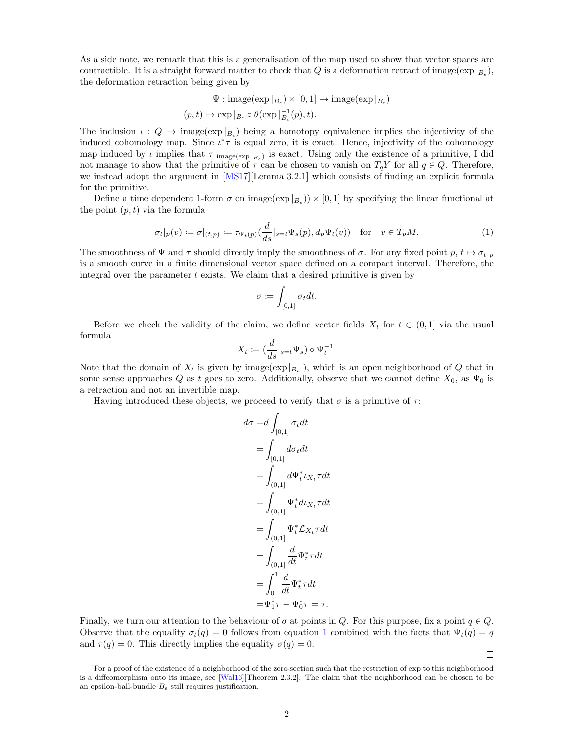As a side note, we remark that this is a generalisation of the map used to show that vector spaces are contractible. It is a straight forward matter to check that  $Q$  is a deformation retract of image( $\exp|_{B_{\epsilon}}$ ), the deformation retraction being given by

$$
\Psi : \text{image}(\exp|_{B_{\epsilon}}) \times [0, 1] \to \text{image}(\exp|_{B_{\epsilon}})
$$

$$
(p, t) \mapsto \exp|_{B_{\epsilon}} \circ \theta(\exp|_{B_{\epsilon}}^{-1}(p), t).
$$

The inclusion  $\iota: Q \to \text{image}(\exp|_{B_{\epsilon}})$  being a homotopy equivalence implies the injectivity of the induced cohomology map. Since  $\iota^*\tau$  is equal zero, it is exact. Hence, injectivity of the cohomology map induced by  $\iota$  implies that  $\tau|_{\text{image}(\exp|_{B_{\epsilon}})}$  is exact. Using only the existence of a primitive, I did not manage to show that the primitive of  $\tau$  can be chosen to vanish on  $T_qY$  for all  $q \in Q$ . Therefore, we instead adopt the argument in [\[MS17\]](#page-3-0)[Lemma 3.2.1] which consists of finding an explicit formula for the primitive.

Define a time dependent 1-form  $\sigma$  on image $(\exp|_{B_{\epsilon}})$   $\times$  [0, 1] by specifying the linear functional at the point  $(p, t)$  via the formula

$$
\sigma_t|_p(v) \coloneqq \sigma|_{(t,p)} \coloneqq \tau_{\Psi_t(p)}\left(\frac{d}{ds}|_{s=t}\Psi_s(p), d_p\Psi_t(v)\right) \quad \text{for} \quad v \in T_pM. \tag{1}
$$

The smoothness of  $\Psi$  and  $\tau$  should directly imply the smoothness of  $\sigma$ . For any fixed point  $p, t \mapsto \sigma_t|_p$ is a smooth curve in a finite dimensional vector space defined on a compact interval. Therefore, the integral over the parameter  $t$  exists. We claim that a desired primitive is given by

<span id="page-1-1"></span>
$$
\sigma \coloneqq \int_{[0,1]} \sigma_t dt.
$$

Before we check the validity of the claim, we define vector fields  $X_t$  for  $t \in (0,1]$  via the usual formula

$$
X_t \coloneqq (\frac{d}{ds}|_{s=t} \Psi_s) \circ \Psi_t^{-1}.
$$

Note that the domain of  $X_t$  is given by image( $\exp|_{B_{tt}}$ ), which is an open neighborhood of Q that in some sense approaches Q as t goes to zero. Additionally, observe that we cannot define  $X_0$ , as  $\Psi_0$  is a retraction and not an invertible map.

Having introduced these objects, we proceed to verify that  $\sigma$  is a primitive of  $\tau$ :

$$
d\sigma = d \int_{[0,1]} \sigma_t dt
$$
  
= 
$$
\int_{[0,1]} d\sigma_t dt
$$
  
= 
$$
\int_{(0,1]} d\Psi_t^* \iota_{X_t} \tau dt
$$
  
= 
$$
\int_{(0,1]} \Psi_t^* d\iota_{X_t} \tau dt
$$
  
= 
$$
\int_{(0,1]} \Psi_t^* \mathcal{L}_{X_t} \tau dt
$$
  
= 
$$
\int_{(0,1]} \frac{d}{dt} \Psi_t^* \tau dt
$$
  
= 
$$
\int_0^1 \frac{d}{dt} \Psi_t^* \tau dt
$$
  
= 
$$
\Psi_1^* \tau - \Psi_0^* \tau = \tau.
$$

Finally, we turn our attention to the behaviour of  $\sigma$  at points in Q. For this purpose, fix a point  $q \in Q$ . Observe that the equality  $\sigma_t(q) = 0$  follows from equation [1](#page-1-1) combined with the facts that  $\Psi_t(q) = q$ and  $\tau(q) = 0$ . This directly implies the equality  $\sigma(q) = 0$ .

 $\Box$ 

<span id="page-1-0"></span><sup>&</sup>lt;sup>1</sup>For a proof of the existence of a neighborhood of the zero-section such that the restriction of exp to this neighborhood is a diffeomorphism onto its image, see [\[Wal16\]](#page-3-2)[Theorem 2.3.2]. The claim that the neighborhood can be chosen to be an epsilon-ball-bundle  $B_{\epsilon}$  still requires justification.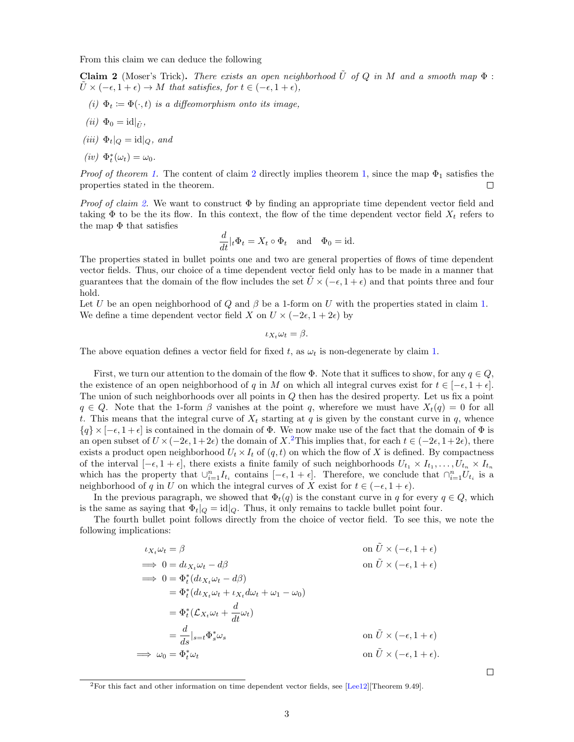From this claim we can deduce the following

<span id="page-2-0"></span>**Claim 2** (Moser's Trick). There exists an open neighborhood  $\tilde{U}$  of Q in M and a smooth map  $\Phi$ :  $\tilde{U} \times (-\epsilon, 1+\epsilon) \rightarrow M$  that satisfies, for  $t \in (-\epsilon, 1+\epsilon)$ ,

- (i)  $\Phi_t := \Phi(\cdot, t)$  is a diffeomorphism onto its image,
- (*ii*)  $\Phi_0 = \mathrm{id}|_{\tilde{U}},$
- (iii)  $\Phi_t|_Q = \mathrm{id}|_Q$ , and
- (iv)  $\Phi_t^*(\omega_t) = \omega_0$ .

*Proof of theorem [1.](#page-0-0)* The content of claim [2](#page-2-0) directly implies theorem [1,](#page-0-0) since the map  $\Phi_1$  satisfies the properties stated in the theorem.  $\Box$ 

*Proof of claim [2.](#page-2-0)* We want to construct  $\Phi$  by finding an appropriate time dependent vector field and taking  $\Phi$  to be the its flow. In this context, the flow of the time dependent vector field  $X_t$  refers to the map  $\Phi$  that satisfies

$$
\frac{d}{dt}|_t \Phi_t = X_t \circ \Phi_t \quad \text{and} \quad \Phi_0 = \text{id}.
$$

The properties stated in bullet points one and two are general properties of flows of time dependent vector fields. Thus, our choice of a time dependent vector field only has to be made in a manner that guarantees that the domain of the flow includes the set  $\tilde{U} \times (-\epsilon, 1 + \epsilon)$  and that points three and four hold.

Let U be an open neighborhood of Q and  $\beta$  be a 1-form on U with the properties stated in claim [1.](#page-0-1) We define a time dependent vector field X on  $U \times (-2\epsilon, 1 + 2\epsilon)$  by

$$
\iota_{X_t}\omega_t=\beta.
$$

The above equation defines a vector field for fixed t, as  $\omega_t$  is non-degenerate by claim [1.](#page-0-1)

First, we turn our attention to the domain of the flow  $\Phi$ . Note that it suffices to show, for any  $q \in Q$ , the existence of an open neighborhood of q in M on which all integral curves exist for  $t \in [-\epsilon, 1 + \epsilon]$ . The union of such neighborhoods over all points in  $Q$  then has the desired property. Let us fix a point  $q \in Q$ . Note that the 1-form  $\beta$  vanishes at the point q, wherefore we must have  $X_t(q) = 0$  for all t. This means that the integral curve of  $X_t$  starting at q is given by the constant curve in q, whence  $\{q\} \times [-\epsilon, 1+\epsilon]$  is contained in the domain of  $\Phi$ . We now make use of the fact that the domain of  $\Phi$  is an open subset of  $U \times (-2\epsilon, 1+2\epsilon)$  $U \times (-2\epsilon, 1+2\epsilon)$  $U \times (-2\epsilon, 1+2\epsilon)$  the domain of X.<sup>2</sup>This implies that, for each  $t \in (-2\epsilon, 1+2\epsilon)$ , there exists a product open neighborhood  $U_t \times I_t$  of  $(q, t)$  on which the flow of X is defined. By compactness of the interval  $[-\epsilon, 1 + \epsilon]$ , there exists a finite family of such neighborhoods  $U_{t_1} \times I_{t_1}, \ldots, U_{t_n} \times I_{t_n}$ which has the property that  $\cup_{i=1}^n I_{t_i}$  contains  $[-\epsilon, 1 + \epsilon]$ . Therefore, we conclude that  $\cap_{i=1}^n U_{t_i}$  is a neighborhood of q in U on which the integral curves of X exist for  $t \in (-\epsilon, 1 + \epsilon)$ .

In the previous paragraph, we showed that  $\Phi_t(q)$  is the constant curve in q for every  $q \in Q$ , which is the same as saying that  $\Phi_t|_Q = id|_Q$ . Thus, it only remains to tackle bullet point four.

The fourth bullet point follows directly from the choice of vector field. To see this, we note the following implications:

$$
\iota_{X_t} \omega_t = \beta \qquad \text{on } \tilde{U} \times (-\epsilon, 1 + \epsilon)
$$
  
\n
$$
\implies 0 = d\iota_{X_t} \omega_t - d\beta \qquad \text{on } \tilde{U} \times (-\epsilon, 1 + \epsilon)
$$
  
\n
$$
\implies 0 = \Phi_t^* (d\iota_{X_t} \omega_t - d\beta)
$$
  
\n
$$
= \Phi_t^* (d\iota_{X_t} \omega_t + \iota_{X_t} d\omega_t + \omega_1 - \omega_0)
$$
  
\n
$$
= \Phi_t^* (\mathcal{L}_{X_t} \omega_t + \frac{d}{dt} \omega_t)
$$
  
\n
$$
= \frac{d}{ds} \Big|_{s=t} \Phi_s^* \omega_s \qquad \text{on } \tilde{U} \times (-\epsilon, 1 + \epsilon)
$$
  
\n
$$
\implies \omega_0 = \Phi_t^* \omega_t \qquad \text{on } \tilde{U} \times (-\epsilon, 1 + \epsilon).
$$

 $\Box$ 

<span id="page-2-1"></span><sup>2</sup>For this fact and other information on time dependent vector fields, see [\[Lee12\]](#page-3-1)[Theorem 9.49].